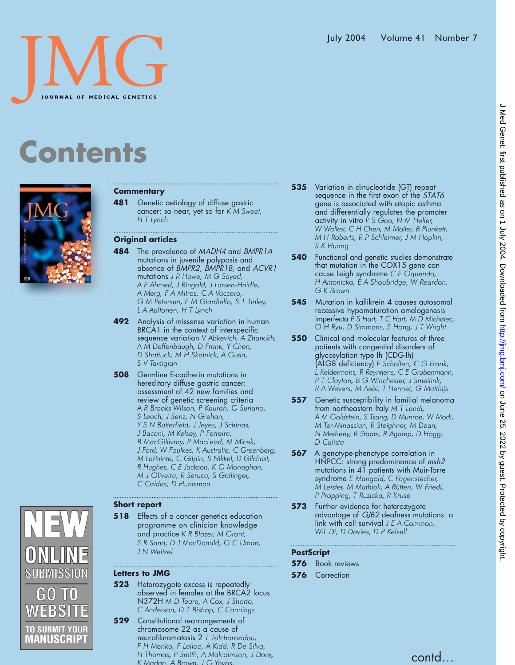## **Contents**



#### **Commentary**

**481** Genetic aetiology of diffuse gastric cancer: so near, yet so far *K M Sweet, H T Lynch*

#### **Original articles**

**484** The prevalence of MADH4 and BMPR1A mutations in juvenile polyposis and absence of BMPR2, BMPR1B, and ACVR1 mutations *J R Howe, M G Sayed, A F Ahmed, J Ringold, J Larsen-Haidle, A Merg, F A Mitros, C A Vaccaro, G M Petersen, F M Giardiello, S T Tinley, L A Aaltonen, H T Lynch*

- **492** Analysis of missense variation in human BRCA1 in the context of interspecific sequence variation *V Abkevich, A Zharkikh, A M Deffenbaugh, D Frank, Y Chen, D Shattuck, M H Skolnick, A Gutin, S V Tavtigian*
- **508** Germline E-cadherin mutations in hereditary diffuse gastric cancer: assessment of 42 new families and review of genetic screening criteria *A R Brooks-Wilson, P Kaurah, G Suriano, S Leach, J Senz, N Grehan, Y S N Butterfield, J Jeyes, J Schinas, J Bacani, M Kelsey, P Ferreira, B MacGillivray, P MacLeod, M Micek, J Ford, W Foulkes, K Australie, C Greenberg, M LaPointe, C Gilpin, S Nikkel, D Gilchrist, R Hughes, C E Jackson, K G Monaghan, M J Oliveira, R Seruca, S Gallinger, C Caldas, D Huntsman*

### SUBMISSION GO TO EBS1 **SUBMIT YOUR** AANUSCRIP1

#### **Short report**

**518** Effects of a cancer genetics education programme on clinician knowledge and practice *K R Blazer, M Grant, S R Sand, D J MacDonald, G C Uman, J N Weitzel*

#### **Letters to JMG**

- **523** Heterozygote excess is repeatedly observed in females at the BRCA2 locus N372H *M D Teare, A Cox, J Shorto, C Anderson, D T Bishop, C Cannings*
- **529** Constitutional rearrangements of chromosome 22 as a cause of neurofibromatosis 2 *T Tsilchorozidou, F H Menko, F Lalloo, A Kidd, R De Silva, H Thomas, P Smith, A Malcolmson, J Dore, K Madan, A Brown,JGYovos,*
- **535** Variation in dinucleotide (GT) repeat sequence in the first exon of the STAT6 gene is associated with atopic asthma and differentially regulates the promoter activity in vitro *P S Gao, N M Heller, W Walker, C H Chen, M Moller, B Plunkett, M H Roberts, R P Schleimer, J M Hopkin, S K Huang*
- **540** Functional and genetic studies demonstrate that mutation in the COX15 gene can cause Leigh syndrome *C E Oquendo, H Antonicka, E A Shoubridge, W Reardon, G K Brown*
- **545** Mutation in kallikrein 4 causes autosomal recessive hypomaturation amelogenesis imperfecta *P S Hart, T C Hart, M D Michalec, O H Ryu, D Simmons, S Hong, J T Wright*
- **550** Clinical and molecular features of three patients with congenital disorders of glycosylation type Ih (CDGIh) (ALG8 deficiency) *E Schollen, C G Frank, L Keldermans, R Reyntjens, C E Grubenmann, P T Clayton, B G Winchester, J Smeitink, R A Wevers, M Aebi, T Hennet, G Matthijs*
- **557** Genetic susceptibility in familial melanoma from northeastern Italy *M T Landi, A M Goldstein, S Tsang, D Munroe, W Modi, M Ter-Minassian, R Steighner, M Dean, N Metheny, B Staats, R Agatep, D Hogg, D Calista*
- **567** A genotype-phenotype correlation in HNPCC: strong predominance of msh2 mutations in  $4\bar{1}$  patients with Muir-Torre syndrome *E Mangold, C Pagenstecher, M Leister, M Mathiak, A Rütten, W Friedl, P Propping, T Ruzicka, R Kruse*
- **573** Further evidence for heterozygote advantage of GJB2 deafness mutations: a link with cell survival *J E A Common, W-L Di, D Davies, D P Kelsell*

#### **PostScript**

- **576** Book reviews
- **576** Correction